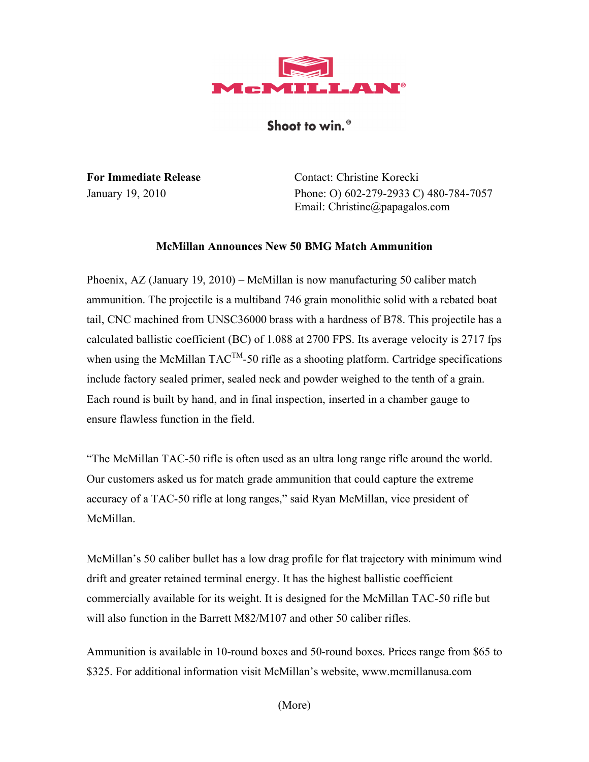

## Shoot to win.<sup>®</sup>

**For Immediate Release** Contact: Christine Korecki January 19, 2010 Phone: O) 602-279-2933 C) 480-784-7057 Email: Christine@papagalos.com

## **McMillan Announces New 50 BMG Match Ammunition**

Phoenix, AZ (January 19, 2010) – McMillan is now manufacturing 50 caliber match ammunition. The projectile is a multiband 746 grain monolithic solid with a rebated boat tail, CNC machined from UNSC36000 brass with a hardness of B78. This projectile has a calculated ballistic coefficient (BC) of 1.088 at 2700 FPS. Its average velocity is 2717 fps when using the McMillan  $TAC^{TM}$ -50 rifle as a shooting platform. Cartridge specifications include factory sealed primer, sealed neck and powder weighed to the tenth of a grain. Each round is built by hand, and in final inspection, inserted in a chamber gauge to ensure flawless function in the field.

"The McMillan TAC-50 rifle is often used as an ultra long range rifle around the world. Our customers asked us for match grade ammunition that could capture the extreme accuracy of a TAC-50 rifle at long ranges," said Ryan McMillan, vice president of McMillan.

McMillan's 50 caliber bullet has a low drag profile for flat trajectory with minimum wind drift and greater retained terminal energy. It has the highest ballistic coefficient commercially available for its weight. It is designed for the McMillan TAC-50 rifle but will also function in the Barrett M82/M107 and other 50 caliber rifles.

Ammunition is available in 10-round boxes and 50-round boxes. Prices range from \$65 to \$325. For additional information visit McMillan's website, www.mcmillanusa.com

(More)